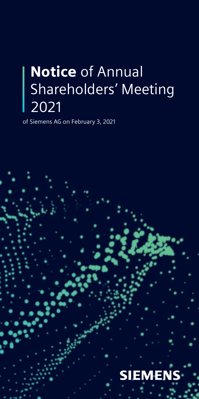## **Notice of Annual** Shareholders' Meeting 2021

of Siemens AG on February 3, 2021

# **SIEMENS**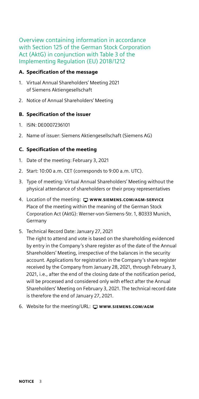Overview containing information in accordance with Section 125 of the German Stock Corporation Act (AktG) in conjunction with Table 3 of the Implementing Regulation (EU) 2018/1212

#### A. Specification of the message

- 1. Virtual Annual Shareholders' Meeting 2021 of Siemens Aktiengesellschaft
- 2. Notice of Annual Shareholders' Meeting

#### B. Specification of the issuer

- 1. ISIN: DE0007236101
- 2. Name of issuer: Siemens Aktiengesellschaft (Siemens AG)

#### C. Specification of the meeting

- 1. Date of the meeting: February 3, 2021
- 2. Start: 10:00 a.m. CET (corresponds to 9:00 a.m. UTC).
- 3. Type of meeting: Virtual Annual Shareholders' Meeting without the physical attendance of shareholders or their proxy representatives
- 4. Location of the meeting:  $\Box$  www.siemens.com/AGM-SERVICE Place of the meeting within the meaning of the German Stock Corporation Act (AktG): Werner-von-Siemens-Str. 1, 80333 Munich, Germany
- 5. Technical Record Date: January 27, 2021

The right to attend and vote is based on the shareholding evidenced by entry in the Company's share register as of the date of the Annual Shareholders' Meeting, irrespective of the balances in the security account. Applications for registration in the Company's share register received by the Company from January 28, 2021, through February 3, 2021, i.e., after the end of the closing date of the notification period, will be processed and considered only with effect after the Annual Shareholders' Meeting on February 3, 2021. The technical record date is therefore the end of January 27, 2021.

6. Website for the meeting/URL: □ www.sIEMENS.COM/AGM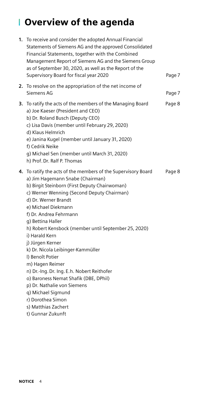### Overview of the agenda

| 1. | To receive and consider the adopted Annual Financial<br>Statements of Siemens AG and the approved Consolidated<br>Financial Statements, together with the Combined<br>Management Report of Siemens AG and the Siemens Group<br>as of September 30, 2020, as well as the Report of the<br>Supervisory Board for fiscal year 2020                                                                                                                                                                                                                                                                                                           | Page 7 |
|----|-------------------------------------------------------------------------------------------------------------------------------------------------------------------------------------------------------------------------------------------------------------------------------------------------------------------------------------------------------------------------------------------------------------------------------------------------------------------------------------------------------------------------------------------------------------------------------------------------------------------------------------------|--------|
|    | 2. To resolve on the appropriation of the net income of<br>Siemens AG                                                                                                                                                                                                                                                                                                                                                                                                                                                                                                                                                                     | Page 7 |
|    | 3. To ratify the acts of the members of the Managing Board<br>a) Joe Kaeser (President and CEO)<br>b) Dr. Roland Busch (Deputy CEO)<br>c) Lisa Davis (member until February 29, 2020)<br>d) Klaus Helmrich<br>e) Janina Kugel (member until January 31, 2020)<br>f) Cedrik Neike<br>q) Michael Sen (member until March 31, 2020)<br>h) Prof. Dr. Ralf P. Thomas                                                                                                                                                                                                                                                                           | Page 8 |
|    | 4. To ratify the acts of the members of the Supervisory Board<br>a) Jim Hagemann Snabe (Chairman)<br>b) Birgit Steinborn (First Deputy Chairwoman)<br>c) Werner Wenning (Second Deputy Chairman)<br>d) Dr. Werner Brandt<br>e) Michael Diekmann<br>f) Dr. Andrea Fehrmann<br>q) Bettina Haller<br>h) Robert Kensbock (member until September 25, 2020)<br>i) Harald Kern<br>j) Jürgen Kerner<br>k) Dr. Nicola Leibinger-Kammüller<br>I) Benoît Potier<br>m) Hagen Reimer<br>n) Dr.-Ing. Dr. Ing. E.h. Nobert Reithofer<br>o) Baroness Nemat Shafik (DBE, DPhil)<br>p) Dr. Nathalie von Siemens<br>q) Michael Sigmund<br>r) Dorothea Simon | Page 8 |
|    |                                                                                                                                                                                                                                                                                                                                                                                                                                                                                                                                                                                                                                           |        |

- s) Matthias Zachert
- t) Gunnar Zukunft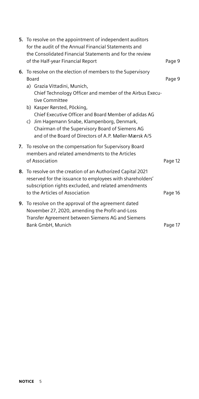| 5. To resolve on the appointment of independent auditors<br>for the audit of the Annual Financial Statements and<br>the Consolidated Financial Statements and for the review<br>of the Half-year Financial Report                                                                                                                                                                                                                       | Page 9  |
|-----------------------------------------------------------------------------------------------------------------------------------------------------------------------------------------------------------------------------------------------------------------------------------------------------------------------------------------------------------------------------------------------------------------------------------------|---------|
| 6. To resolve on the election of members to the Supervisory<br>Board<br>a) Grazia Vittadini, Munich,<br>Chief Technology Officer and member of the Airbus Execu-<br>tive Committee<br>b) Kasper Rørsted, Pöcking,<br>Chief Executive Officer and Board Member of adidas AG<br>c) Jim Hagemann Snabe, Klampenborg, Denmark,<br>Chairman of the Supervisory Board of Siemens AG<br>and of the Board of Directors of A.P. Møller-Mærsk A/S | Page 9  |
| 7. To resolve on the compensation for Supervisory Board<br>members and related amendments to the Articles<br>of Association                                                                                                                                                                                                                                                                                                             | Page 12 |
| 8. To resolve on the creation of an Authorized Capital 2021<br>reserved for the issuance to employees with shareholders'<br>subscription rights excluded, and related amendments<br>to the Articles of Association                                                                                                                                                                                                                      | Page 16 |
| <b>9.</b> To resolve on the approval of the agreement dated<br>November 27, 2020, amending the Profit-and-Loss<br>Transfer Agreement between Siemens AG and Siemens<br>Bank GmbH, Munich                                                                                                                                                                                                                                                | Page 17 |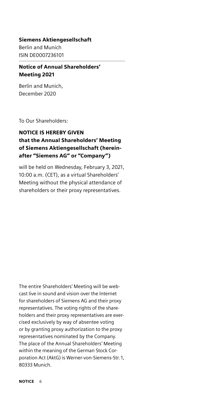#### Siemens Aktiengesellschaft

Berlin and Munich ISIN DE0007236101

#### Notice of Annual Shareholders' Meeting 2021

Berlin and Munich, December 2020

To Our Shareholders:

#### NOTICE IS HEREBY GIVEN that the Annual Shareholders' Meeting of Siemens Aktiengesellschaft (hereinafter "Siemens AG" or "Company")

will be held on Wednesday, February 3, 2021, 10:00 a.m. (CET), as a virtual Shareholders' Meeting without the physical attendance of shareholders or their proxy representatives.

The entire Shareholders' Meeting will be webcast live in sound and vision over the Internet for shareholders of Siemens AG and their proxy representatives. The voting rights of the shareholders and their proxy representatives are exercised exclusively by way of absentee voting or by granting proxy authorization to the proxy representatives nominated by the Company. The place of the Annual Shareholders' Meeting within the meaning of the German Stock Corporation Act (AktG) is Werner-von-Siemens-Str. 1, 80333 Munich.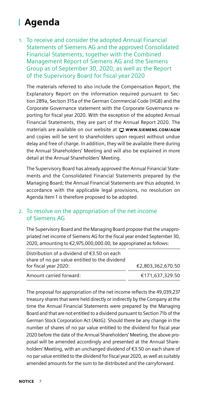### Agenda

#### 1. To receive and consider the adopted Annual Financial Statements of Siemens AG and the approved Consolidated Financial Statements, together with the Combined Management Report of Siemens AG and the Siemens Group as of September 30, 2020, as well as the Report of the Supervisory Board for fiscal year 2020

The materials referred to also include the Compensation Report, the Explanatory Report on the information required pursuant to Section 289a, Section 315a of the German Commercial Code (HGB) and the Corporate Governance statement with the Corporate Governance reporting for fiscal year 2020. With the exception of the adopted Annual Financial Statements, they are part of the Annual Report 2020. The materials are available on our website at  $\Box$  www.siEMENS.COM/AGM and copies will be sent to shareholders upon request without undue delay and free of charge. In addition, they will be available there during the Annual Shareholders' Meeting and will also be explained in more detail at the Annual Shareholders' Meeting.

The Supervisory Board has already approved the Annual Financial Statements and the Consolidated Financial Statements prepared by the Managing Board; the Annual Financial Statements are thus adopted. In accordance with the applicable legal provisions, no resolution on Agenda Item 1 is therefore proposed to be adopted.

#### 2. To resolve on the appropriation of the net income of Siemens AG

The Supervisory Board and the Managing Board propose that the unappropriated net income of Siemens AG for the fiscal year ended September 30, 2020, amounting to €2,975,000,000.00, be appropriated as follows:

| Distribution of a dividend of $\epsilon$ 3.50 on each<br>share of no par value entitled to the dividend |                   |
|---------------------------------------------------------------------------------------------------------|-------------------|
| for fiscal year 2020:                                                                                   | €2.803.362.670.50 |
| Amount carried forward:                                                                                 | €171.637.329.50   |

The proposal for appropriation of the net income reflects the 49,039,237 treasury shares that were held directly or indirectly by the Company at the time the Annual Financial Statements were prepared by the Managing Board and that are not entitled to a dividend pursuant to Section 71b of the German Stock Corporation Act (AktG). Should there be any change in the number of shares of no par value entitled to the dividend for fiscal year 2020 before the date of the Annual Shareholders' Meeting, the above proposal will be amended accordingly and presented at the Annual Shareholders' Meeting, with an unchanged dividend of €3.50 on each share of no par value entitled to the dividend for fiscal year 2020, as well as suitably amended amounts for the sum to be distributed and the carryforward.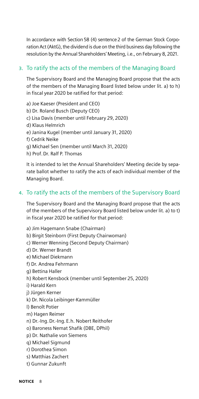In accordance with Section 58 (4) sentence 2 of the German Stock Corporation Act (AktG), the dividend is due on the third business day following the resolution by the Annual Shareholders' Meeting, i.e., on February 8, 2021.

#### 3. To ratify the acts of the members of the Managing Board

The Supervisory Board and the Managing Board propose that the acts of the members of the Managing Board listed below under lit. a) to h) in fiscal year 2020 be ratified for that period:

- a) Joe Kaeser (President and CEO)
- b) Dr. Roland Busch (Deputy CEO)
- c) Lisa Davis (member until February 29, 2020)
- d) Klaus Helmrich
- e) Janina Kugel (member until January 31, 2020)
- f) Cedrik Neike
- g) Michael Sen (member until March 31, 2020)
- h) Prof.Dr. Ralf P. Thomas

It is intended to let the Annual Shareholders' Meeting decide by separate ballot whether to ratify the acts of each individual member of the Managing Board.

#### 4. To ratify the acts of the members of the Supervisory Board

The Supervisory Board and the Managing Board propose that the acts of the members of the Supervisory Board listed below under lit. a) to t) in fiscal year 2020 be ratified for that period:

- a) Jim Hagemann Snabe (Chairman)
- b) Birgit Steinborn (First Deputy Chairwoman)
- c) Werner Wenning (Second Deputy Chairman)
- d) Dr. Werner Brandt
- e) Michael Diekmann
- f) Dr. Andrea Fehrmann
- g) Bettina Haller
- h) Robert Kensbock (member until September 25, 2020)
- i) Harald Kern
- j) Jürgen Kerner
- k) Dr. Nicola Leibinger-Kammüller
- l) Benoît Potier
- m) Hagen Reimer
- n) Dr.-Ing.Dr.-Ing.E.h. Nobert Reithofer
- o) Baroness Nemat Shafik (DBE, DPhil)
- p) Dr. Nathalie von Siemens
- q) Michael Sigmund
- r) Dorothea Simon
- s) Matthias Zachert
- t) Gunnar Zukunft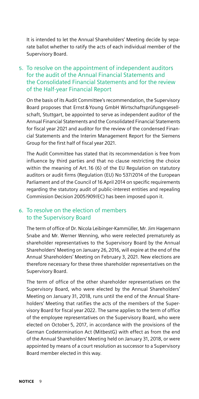It is intended to let the Annual Shareholders' Meeting decide by separate ballot whether to ratify the acts of each individual member of the Supervisory Board.

#### 5. To resolve on the appointment of independent auditors for the audit of the Annual Financial Statements and the Consolidated Financial Statements and for the review of the Half-year Financial Report

On the basis of its Audit Committee's recommendation, the Supervisory Board proposes that Ernst&Young GmbH Wirtschaftsprüfungsgesellschaft, Stuttgart, be appointed to serve as independent auditor of the Annual Financial Statements and the Consolidated Financial Statements for fiscal year 2021 and auditor for the review of the condensed Financial Statements and the Interim Management Report for the Siemens Group for the first half of fiscal year 2021.

The Audit Committee has stated that its recommendation is free from influence by third parties and that no clause restricting the choice within the meaning of Art. 16 (6) of the EU Regulation on statutory auditors or audit firms (Regulation (EU) No 537/2014 of the European Parliament and of the Council of 16 April 2014 on specific requirements regarding the statutory audit of public-interest entities and repealing Commission Decision 2005/909/EC) has been imposed upon it.

#### 6. To resolve on the election of members to the Supervisory Board

The term of office of Dr. Nicola Leibinger-Kammüller, Mr. Jim Hagemann Snabe and Mr. Werner Wenning, who were reelected prematurely as shareholder representatives to the Supervisory Board by the Annual Shareholders' Meeting on January 26, 2016, will expire at the end of the Annual Shareholders' Meeting on February 3, 2021. New elections are therefore necessary for these three shareholder representatives on the Supervisory Board.

The term of office of the other shareholder representatives on the Supervisory Board, who were elected by the Annual Shareholders' Meeting on January 31, 2018, runs until the end of the Annual Shareholders' Meeting that ratifies the acts of the members of the Supervisory Board for fiscal year 2022. The same applies to the term of office of the employee representatives on the Supervisory Board, who were elected on October 5, 2017, in accordance with the provisions of the German Codetermination Act (MitbestG) with effect as from the end of the Annual Shareholders' Meeting held on January 31, 2018, or were appointed by means of a court resolution as successor to a Supervisory Board member elected in this way.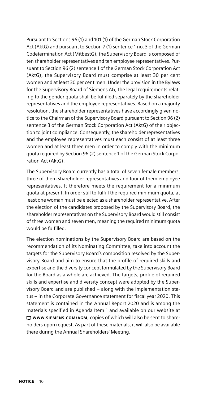Pursuant to Sections 96 (1) and 101 (1) of the German Stock Corporation Act (AktG) and pursuant to Section 7 (1) sentence 1 no. 3 of the German Codetermination Act (MitbestG), the Supervisory Board is composed of ten shareholder representatives and ten employee representatives. Pursuant to Section 96 (2) sentence 1 of the German Stock Corporation Act (AktG), the Supervisory Board must comprise at least 30 per cent women and at least 30 per cent men. Under the provision in the Bylaws for the Supervisory Board of Siemens AG, the legal requirements relating to the gender quota shall be fulfilled separately by the shareholder representatives and the employee representatives. Based on a majority resolution, the shareholder representatives have accordingly given notice to the Chairman of the Supervisory Board pursuant to Section 96 (2) sentence 3 of the German Stock Corporation Act (AktG) of their objection to joint compliance. Consequently, the shareholder representatives and the employee representatives must each consist of at least three women and at least three men in order to comply with the minimum quota required by Section 96 (2) sentence 1 of the German Stock Corporation Act (AktG).

The Supervisory Board currently has a total of seven female members, three of them shareholder representatives and four of them employee representatives. It therefore meets the requirement for a minimum quota at present. In order still to fulfill the required minimum quota, at least one woman must be elected as a shareholder representative. After the election of the candidates proposed by the Supervisory Board, the shareholder representatives on the Supervisory Board would still consist of three women and seven men, meaning the required minimum quota would be fulfilled.

The election nominations by the Supervisory Board are based on the recommendation of its Nominating Committee, take into account the targets for the Supervisory Board's composition resolved by the Supervisory Board and aim to ensure that the profile of required skills and expertise and the diversity concept formulated by the Supervisory Board for the Board as a whole are achieved. The targets, profile of required skills and expertise and diversity concept were adopted by the Supervisory Board and are published – along with the implementation status – in the Corporate Governance statement for fiscal year 2020. This statement is contained in the Annual Report 2020 and is among the materials specified in Agenda Item 1 and available on our website at [WWW.SIEMENS.COM/AGM](http://www.siemens.com/agm), copies of which will also be sent to shareholders upon request. As part of these materials, it will also be available there during the Annual Shareholders' Meeting.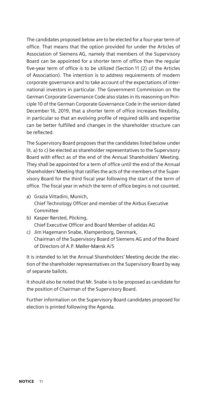The candidates proposed below are to be elected for a four-year term of office. That means that the option provided for under the Articles of Association of Siemens AG, namely that members of the Supervisory Board can be appointed for a shorter term of office than the regular five-year term of office is to be utilized (Section 11 (2) of the Articles of Association). The intention is to address requirements of modern corporate governance and to take account of the expectations of international investors in particular. The Government Commission on the German Corporate Governance Code also states in its reasoning on Principle 10 of the German Corporate Governance Code in the version dated December 16, 2019, that a shorter term of office increases flexibility, in particular so that an evolving profile of required skills and expertise can be better fulfilled and changes in the shareholder structure can be reflected.

The Supervisory Board proposes that the candidates listed below under lit. a) to c) be elected as shareholder representatives to the Supervisory Board with effect as of the end of the Annual Shareholders' Meeting. They shall be appointed for a term of office until the end of the Annual Shareholders' Meeting that ratifies the acts of the members of the Supervisory Board for the third fiscal year following the start of the term of office. The fiscal year in which the term of office begins is not counted.

- a) Grazia Vittadini, Munich, Chief Technology Officer and member of the Airbus Executive Committee
- b) Kasper Rørsted, Pöcking, Chief Executive Officer and Board Member of adidas AG
- c) Jim Hagemann Snabe, Klampenborg, Denmark, Chairman of the Supervisory Board of Siemens AG and of the Board of Directors of A.P. Møller-Mærsk A/S

It is intended to let the Annual Shareholders' Meeting decide the election of the shareholder representatives on the Supervisory Board by way of separate ballots.

It should also be noted that Mr. Snabe is to be proposed as candidate for the position of Chairman of the Supervisory Board.

Further information on the Supervisory Board candidates proposed for election is printed following the Agenda.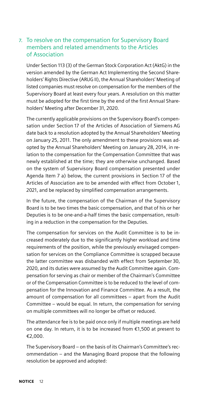#### 7. To resolve on the compensation for Supervisory Board members and related amendments to the Articles of Association

Under Section 113 (3) of the German Stock Corporation Act (AktG) in the version amended by the German Act Implementing the Second Shareholders' Rights Directive (ARUG II), the Annual Shareholders' Meeting of listed companies must resolve on compensation for the members of the Supervisory Board at least every four years. A resolution on this matter must be adopted for the first time by the end of the first Annual Shareholders' Meeting after December 31, 2020.

The currently applicable provisions on the Supervisory Board's compensation under Section 17 of the Articles of Association of Siemens AG date back to a resolution adopted by the Annual Shareholders' Meeting on January 25, 2011. The only amendment to these provisions was adopted by the Annual Shareholders' Meeting on January 28, 2014, in relation to the compensation for the Compensation Committee that was newly established at the time; they are otherwise unchanged. Based on the system of Supervisory Board compensation presented under Agenda Item 7 a) below, the current provisions in Section 17 of the Articles of Association are to be amended with effect from October 1, 2021, and be replaced by simplified compensation arrangements.

In the future, the compensation of the Chairman of the Supervisory Board is to be two times the basic compensation, and that of his or her Deputies is to be one-and-a-half times the basic compensation, resulting in a reduction in the compensation for the Deputies.

The compensation for services on the Audit Committee is to be increased moderately due to the significantly higher workload and time requirements of the position, while the previously envisaged compensation for services on the Compliance Committee is scrapped because the latter committee was disbanded with effect from September 30, 2020, and its duties were assumed by the Audit Committee again. Compensation for serving as chair or member of the Chairman's Committee or of the Compensation Committee is to be reduced to the level of compensation for the Innovation and Finance Committee. As a result, the amount of compensation for all committees – apart from the Audit Committee – would be equal. In return, the compensation for serving on multiple committees will no longer be offset or reduced.

The attendance fee is to be paid once only if multiple meetings are held on one day. In return, it is to be increased from €1,500 at present to €2,000.

The Supervisory Board – on the basis of its Chairman's Committee's recommendation – and the Managing Board propose that the following resolution be approved and adopted: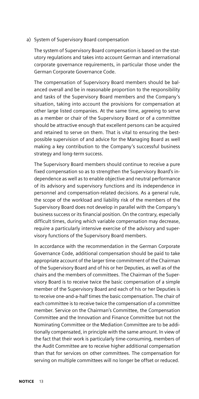#### a) System of Supervisory Board compensation

The system of Supervisory Board compensation is based on the statutory regulations and takes into account German and international corporate governance requirements, in particular those under the German Corporate Governance Code.

The compensation of Supervisory Board members should be balanced overall and be in reasonable proportion to the responsibility and tasks of the Supervisory Board members and the Company's situation, taking into account the provisions for compensation at other large listed companies. At the same time, agreeing to serve as a member or chair of the Supervisory Board or of a committee should be attractive enough that excellent persons can be acquired and retained to serve on them. That is vital to ensuring the bestpossible supervision of and advice for the Managing Board as well making a key contribution to the Company's successful business strategy and long-term success.

The Supervisory Board members should continue to receive a pure fixed compensation so as to strengthen the Supervisory Board's independence as well as to enable objective and neutral performance of its advisory and supervisory functions and its independence in personnel and compensation-related decisions. As a general rule, the scope of the workload and liability risk of the members of the Supervisory Board does not develop in parallel with the Company's business success or its financial position. On the contrary, especially difficult times, during which variable compensation may decrease, require a particularly intensive exercise of the advisory and supervisory functions of the Supervisory Board members.

In accordance with the recommendation in the German Corporate Governance Code, additional compensation should be paid to take appropriate account of the larger time commitment of the Chairman of the Supervisory Board and of his or her Deputies, as well as of the chairs and the members of committees. The Chairman of the Supervisory Board is to receive twice the basic compensation of a simple member of the Supervisory Board and each of his or her Deputies is to receive one-and-a-half times the basic compensation. The chair of each committee is to receive twice the compensation of a committee member. Service on the Chairman's Committee, the Compensation Committee and the Innovation and Finance Committee but not the Nominating Committee or the Mediation Committee are to be additionally compensated, in principle with the same amount. In view of the fact that their work is particularly time-consuming, members of the Audit Committee are to receive higher additional compensation than that for services on other committees. The compensation for serving on multiple committees will no longer be offset or reduced.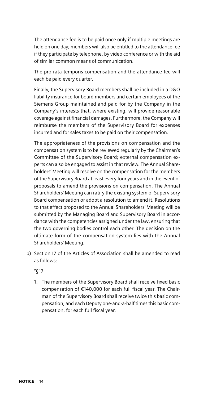The attendance fee is to be paid once only if multiple meetings are held on one day; members will also be entitled to the attendance fee if they participate by telephone, by video conference or with the aid of similar common means of communication.

The pro rata temporis compensation and the attendance fee will each be paid every quarter.

Finally, the Supervisory Board members shall be included in a D&O liability insurance for board members and certain employees of the Siemens Group maintained and paid for by the Company in the Company's interests that, where existing, will provide reasonable coverage against financial damages. Furthermore, the Company will reimburse the members of the Supervisory Board for expenses incurred and for sales taxes to be paid on their compensation.

The appropriateness of the provisions on compensation and the compensation system is to be reviewed regularly by the Chairman's Committee of the Supervisory Board; external compensation experts can also be engaged to assist in that review. The Annual Shareholders' Meeting will resolve on the compensation for the members of the Supervisory Board at least every four years and in the event of proposals to amend the provisions on compensation. The Annual Shareholders' Meeting can ratify the existing system of Supervisory Board compensation or adopt a resolution to amend it. Resolutions to that effect proposed to the Annual Shareholders' Meeting will be submitted by the Managing Board and Supervisory Board in accordance with the competencies assigned under the law, ensuring that the two governing bodies control each other. The decision on the ultimate form of the compensation system lies with the Annual Shareholders' Meeting.

b) Section 17 of the Articles of Association shall be amended to read as follows:

"§17

1. The members of the Supervisory Board shall receive fixed basic compensation of €140,000 for each full fiscal year. The Chairman of the Supervisory Board shall receive twice this basic compensation, and each Deputy one-and-a-half times this basic compensation, for each full fiscal year.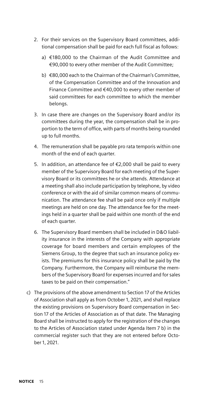- 2. For their services on the Supervisory Board committees, additional compensation shall be paid for each full fiscal as follows:
	- a) €180,000 to the Chairman of the Audit Committee and €90,000 to every other member of the Audit Committee;
	- b) €80,000 each to the Chairman of the Chairman's Committee, of the Compensation Committee and of the Innovation and Finance Committee and €40,000 to every other member of said committees for each committee to which the member belongs.
- 3. In case there are changes on the Supervisory Board and/or its committees during the year, the compensation shall be in proportion to the term of office, with parts of months being rounded up to full months.
- 4. The remuneration shall be payable pro rata temporis within one month of the end of each quarter.
- 5. In addition, an attendance fee of €2,000 shall be paid to every member of the Supervisory Board for each meeting of the Supervisory Board or its committees he or she attends. Attendance at a meeting shall also include participation by telephone, by video conference or with the aid of similar common means of communication. The attendance fee shall be paid once only if multiple meetings are held on one day. The attendance fee for the meetings held in a quarter shall be paid within one month of the end of each quarter.
- 6. The Supervisory Board members shall be included in D&O liability insurance in the interests of the Company with appropriate coverage for board members and certain employees of the Siemens Group, to the degree that such an insurance policy exists. The premiums for this insurance policy shall be paid by the Company. Furthermore, the Company will reimburse the members of the Supervisory Board for expenses incurred and for sales taxes to be paid on their compensation."
- c) The provisions of the above amendment to Section 17 of the Articles of Association shall apply as from October 1, 2021, and shall replace the existing provisions on Supervisory Board compensation in Section 17 of the Articles of Association as of that date. The Managing Board shall be instructed to apply for the registration of the changes to the Articles of Association stated under Agenda Item 7 b) in the commercial register such that they are not entered before October 1, 2021.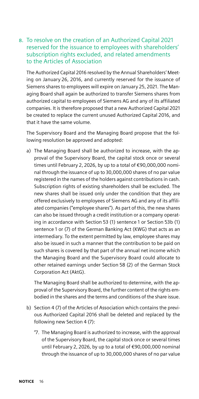#### 8. To resolve on the creation of an Authorized Capital 2021 reserved for the issuance to employees with shareholders' subscription rights excluded, and related amendments to the Articles of Association

The Authorized Capital 2016 resolved by the Annual Shareholders' Meeting on January 26, 2016, and currently reserved for the issuance of Siemens shares to employees will expire on January 25, 2021. The Managing Board shall again be authorized to transfer Siemens shares from authorized capital to employees of Siemens AG and any of its affiliated companies. It is therefore proposed that a new Authorized Capital 2021 be created to replace the current unused Authorized Capital 2016, and that it have the same volume.

The Supervisory Board and the Managing Board propose that the following resolution be approved and adopted:

a) The Managing Board shall be authorized to increase, with the approval of the Supervisory Board, the capital stock once or several times until February 2, 2026, by up to a total of €90,000,000 nominal through the issuance of up to 30,000,000 shares of no par value registered in the names of the holders against contributions in cash. Subscription rights of existing shareholders shall be excluded. The new shares shall be issued only under the condition that they are offered exclusively to employees of Siemens AG and any of its affiliated companies ("employee shares"). As part of this, the new shares can also be issued through a credit institution or a company operating in accordance with Section 53 (1) sentence 1 or Section 53b (1) sentence 1 or (7) of the German Banking Act (KWG) that acts as an intermediary. To the extent permitted by law, employee shares may also be issued in such a manner that the contribution to be paid on such shares is covered by that part of the annual net income which the Managing Board and the Supervisory Board could allocate to other retained earnings under Section 58 (2) of the German Stock Corporation Act (AktG).

The Managing Board shall be authorized to determine, with the approval of the Supervisory Board, the further content of the rights embodied in the shares and the terms and conditions of the share issue.

- b) Section 4 (7) of the Articles of Association which contains the previous Authorized Capital 2016 shall be deleted and replaced by the following new Section 4 (7):
	- "7. The Managing Board is authorized to increase, with the approval of the Supervisory Board, the capital stock once or several times until February 2, 2026, by up to a total of €90,000,000 nominal through the issuance of up to 30,000,000 shares of no par value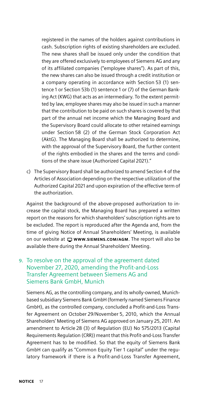registered in the names of the holders against contributions in cash. Subscription rights of existing shareholders are excluded. The new shares shall be issued only under the condition that they are offered exclusively to employees of Siemens AG and any of its affiliated companies ("employee shares"). As part of this, the new shares can also be issued through a credit institution or a company operating in accordance with Section 53 (1) sentence 1 or Section 53b (1) sentence 1 or (7) of the German Banking Act (KWG) that acts as an intermediary. To the extent permitted by law, employee shares may also be issued in such a manner that the contribution to be paid on such shares is covered by that part of the annual net income which the Managing Board and the Supervisory Board could allocate to other retained earnings under Section 58 (2) of the German Stock Corporation Act (AktG). The Managing Board shall be authorized to determine, with the approval of the Supervisory Board, the further content of the rights embodied in the shares and the terms and conditions of the share issue (Authorized Capital 2021)."

c) The Supervisory Board shall be authorized to amend Section 4 of the Articles of Association depending on the respective utilization of the Authorized Capital 2021 and upon expiration of the effective term of the authorization.

Against the background of the above-proposed authorization to increase the capital stock, the Managing Board has prepared a written report on the reasons for which shareholders' subscription rights are to be excluded. The report is reproduced after the Agenda and, from the time of giving Notice of Annual Shareholders' Meeting, is available on our website at  $\Box$  www.siemens.com/AGM. The report will also be available there during the Annual Shareholders' Meeting.

#### 9. To resolve on the approval of the agreement dated November 27, 2020, amending the Profit-and-Loss Transfer Agreement between Siemens AG and Siemens Bank GmbH, Munich

Siemens AG, as the controlling company, and its wholly-owned, Munichbased subsidiary Siemens Bank GmbH (formerly named Siemens Finance GmbH), as the controlled company, concluded a Profit-and-Loss Transfer Agreement on October 29/November 5, 2010, which the Annual Shareholders' Meeting of Siemens AG approved on January 25, 2011. An amendment to Article 28 (3) of Regulation (EU) No 575/2013 (Capital Requirements Regulation (CRR)) meant that this Profit-and-Loss Transfer Agreement has to be modified. So that the equity of Siemens Bank GmbH can qualify as "Common Equity Tier 1 capital" under the regulatory framework if there is a Profit-and-Loss Transfer Agreement,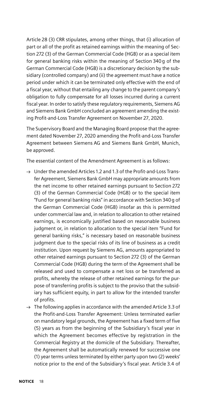Article 28 (3) CRR stipulates, among other things, that (i) allocation of part or all of the profit as retained earnings within the meaning of Section 272 (3) of the German Commercial Code (HGB) or as a special item for general banking risks within the meaning of Section 340g of the German Commercial Code (HGB) is a discretionary decision by the subsidiary (controlled company) and (ii) the agreement must have a notice period under which it can be terminated only effective with the end of a fiscal year, without that entailing any change to the parent company's obligation to fully compensate for all losses incurred during a current fiscal year. In order to satisfy these regulatory requirements, Siemens AG and Siemens Bank GmbH concluded an agreement amending the existing Profit-and-Loss Transfer Agreement on November 27, 2020.

The Supervisory Board and the Managing Board propose that the agreement dated November 27, 2020 amending the Profit-and-Loss Transfer Agreement between Siemens AG and Siemens Bank GmbH, Munich, be approved.

The essential content of the Amendment Agreement is as follows:

- $\rightarrow$  Under the amended Articles 1.2 and 1.3 of the Profit-and-Loss Transfer Agreement, Siemens Bank GmbH may appropriate amounts from the net income to other retained earnings pursuant to Section 272 (3) of the German Commercial Code (HGB) or to the special item "Fund for general banking risks" in accordance with Section 340g of the German Commercial Code (HGB) insofar as this is permitted under commercial law and, in relation to allocation to other retained earnings, is economically justified based on reasonable business judgment or, in relation to allocation to the special item "Fund for general banking risks," is necessary based on reasonable business judgment due to the special risks of its line of business as a credit institution. Upon request by Siemens AG, amounts appropriated to other retained earnings pursuant to Section 272 (3) of the German Commercial Code (HGB) during the term of the Agreement shall be released and used to compensate a net loss or be transferred as profits, whereby the release of other retained earnings for the purpose of transferring profits is subject to the proviso that the subsidiary has sufficient equity, in part to allow for the intended transfer of profits.
- $\rightarrow$  The following applies in accordance with the amended Article 3.3 of the Profit-and-Loss Transfer Agreement: Unless terminated earlier on mandatory legal grounds, the Agreement has a fixed term of five (5) years as from the beginning of the Subsidiary's fiscal year in which the Agreement becomes effective by registration in the Commercial Registry at the domicile of the Subsidiary. Thereafter, the Agreement shall be automatically renewed for successive one (1) year terms unless terminated by either party upon two (2) weeks' notice prior to the end of the Subsidiary's fiscal year. Article 3.4 of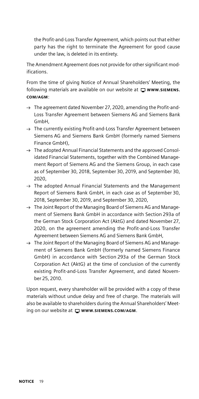the Profit-and-Loss Transfer Agreement, which points out that either party has the right to terminate the Agreement for good cause under the law, is deleted in its entirety.

The Amendment Agreement does not provide for other significant modifications.

From the time of giving Notice of Annual Shareholders' Meeting, the following materials are available on our website at  $\Box$  www.siemens. [COM/AGM](http://www.siemens.com/agm):

- $\rightarrow$  The agreement dated November 27, 2020, amending the Profit-and-Loss Transfer Agreement between Siemens AG and Siemens Bank GmbH,
- $\rightarrow$  The currently existing Profit-and-Loss Transfer Agreement between Siemens AG and Siemens Bank GmbH (formerly named Siemens Finance GmbH),
- $\rightarrow$  The adopted Annual Financial Statements and the approved Consolidated Financial Statements, together with the Combined Management Report of Siemens AG and the Siemens Group, in each case as of September 30, 2018, September 30, 2019, and September 30, 2020,
- $\rightarrow$  The adopted Annual Financial Statements and the Management Report of Siemens Bank GmbH, in each case as of September 30, 2018, September 30, 2019, and September 30, 2020,
- $\rightarrow$  The Joint Report of the Managing Board of Siemens AG and Management of Siemens Bank GmbH in accordance with Section 293a of the German Stock Corporation Act (AktG) and dated November 27, 2020, on the agreement amending the Profit-and-Loss Transfer Agreement between Siemens AG and Siemens Bank GmbH,
- $\rightarrow$  The Joint Report of the Managing Board of Siemens AG and Management of Siemens Bank GmbH (formerly named Siemens Finance GmbH) in accordance with Section 293a of the German Stock Corporation Act (AktG) at the time of conclusion of the currently existing Profit-and-Loss Transfer Agreement, and dated November 25, 2010.

Upon request, every shareholder will be provided with a copy of these materials without undue delay and free of charge. The materials will also be available to shareholders during the Annual Shareholders' Meeting on our website at  $\Box$  www.siemens.com/AGM.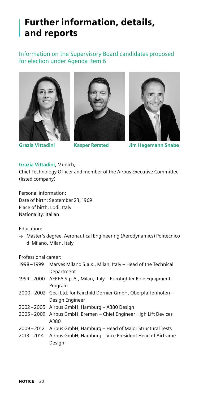## Further information, details, and reports

### Information on the Supervisory Board candidates proposed for election under Agenda Item 6







**Grazia Vittadini Kasper Rørsted Jim Hagemann Snabe**

#### **Grazia Vittadini**, Munich,

Chief Technology Officer and member of the Airbus Executive Committee (listed company)

Personal information: Date of birth: September 23, 1969 Place of birth: Lodi, Italy Nationality: Italian

#### Education:

 $\rightarrow$  Master's degree, Aeronautical Engineering (Aerodynamics) Politecnico di Milano, Milan, Italy

Professional career:

| 1998-1999 | Marves Milano S.a.s., Milan, Italy - Head of the Technical          |
|-----------|---------------------------------------------------------------------|
|           | Department                                                          |
|           | 1999 – 2000 AEREA S.p.A., Milan, Italy – Eurofighter Role Equipment |
|           | Program                                                             |
|           | 2000–2002 Geci Ltd. for Fairchild Dornier GmbH, Oberpfaffenhofen –  |
|           | Design Engineer                                                     |
|           | 2002-2005 Airbus GmbH, Hamburg - A380 Design                        |
|           | 2005-2009 Airbus GmbH, Bremen - Chief Engineer High Lift Devices    |
|           | A380                                                                |
|           | 2009–2012 Airbus GmbH, Hamburg – Head of Major Structural Tests     |
| 2013-2014 | Airbus GmbH, Hamburg - Vice President Head of Airframe              |
|           | Design                                                              |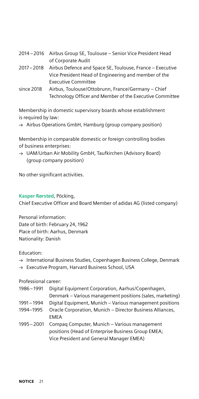|            | 2014-2016 Airbus Group SE, Toulouse - Senior Vice President Head      |
|------------|-----------------------------------------------------------------------|
|            | of Corporate Audit                                                    |
|            | 2017 – 2018 Airbus Defence and Space SE, Toulouse, France – Executive |
|            | Vice President Head of Engineering and member of the                  |
|            | Executive Committee                                                   |
| since 2018 | Airbus, Toulouse/Ottobrunn, France/Germany - Chief                    |
|            | Technology Officer and Member of the Executive Committee              |
|            |                                                                       |

Membership in domestic supervisory boards whose establishment is required by law:

 $\rightarrow$  Airbus Operations GmbH, Hamburg (group company position)

Membership in comparable domestic or foreign controlling bodies of business enterprises:

→ UAM/Urban Air Mobility GmbH, Taufkirchen (Advisory Board) (group company position)

No other significant activities.

#### **Kasper Rørsted**, Pöcking, Chief Executive Officer and Board Member of adidas AG (listed company)

Personal information: Date of birth: February 24, 1962 Place of birth: Aarhus, Denmark Nationality: Danish

#### Education:

- $\rightarrow$  International Business Studies, Copenhagen Business College, Denmark
- $\rightarrow$  Executive Program, Harvard Business School, USA

#### Professional career:

| 1986-1991   | Digital Equipment Corporation, Aarhus/Copenhagen,         |
|-------------|-----------------------------------------------------------|
|             | Denmark – Various management positions (sales, marketing) |
| 1991-1994   | Digital Equipment, Munich – Various management positions  |
| 1994-1995   | Oracle Corporation, Munich – Director Business Alliances, |
|             | <b>EMEA</b>                                               |
| 1995 - 2001 | Compag Computer, Munich - Various management              |
|             | positions (Head of Enterprise Business Group EMEA;        |
|             | Vice President and General Manager EMEA)                  |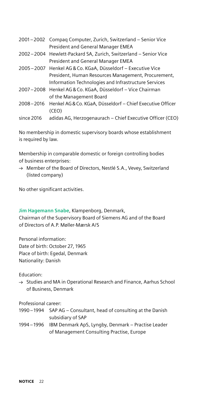| 2001-2002 Compag Computer, Zurich, Switzerland - Senior Vice<br>President and General Manager EMEA |
|----------------------------------------------------------------------------------------------------|
|                                                                                                    |
| 2002-2004 Hewlett-Packard SA, Zurich, Switzerland - Senior Vice                                    |
| President and General Manager EMEA                                                                 |
| 2005–2007 Henkel AG & Co. KGaA, Düsseldorf – Executive Vice                                        |
| President, Human Resources Management, Procurement,                                                |
| Information Technologies and Infrastructure Services                                               |
| 2007-2008 Henkel AG & Co. KGaA, Düsseldorf - Vice Chairman                                         |
| of the Management Board                                                                            |
| Henkel AG & Co. KGaA, Düsseldorf - Chief Executive Officer                                         |
| (CEO)                                                                                              |
| adidas AG, Herzogenaurach - Chief Executive Officer (CEO)                                          |
|                                                                                                    |

No membership in domestic supervisory boards whose establishment is required by law.

Membership in comparable domestic or foreign controlling bodies of business enterprises:

 $\rightarrow$  Member of the Board of Directors, Nestlé S.A., Vevey, Switzerland (listed company)

No other significant activities.

**Jim Hagemann Snabe**, Klampenborg, Denmark,

Chairman of the Supervisory Board of Siemens AG and of the Board of Directors of A.P. Møller-Mærsk A/S

Personal information: Date of birth: October 27, 1965 Place of birth: Egedal, Denmark Nationality: Danish

#### Education:

 $\rightarrow$  Studies and MA in Operational Research and Finance, Aarhus School of Business, Denmark

Professional career:

- 1990–1994 SAP AG Consultant, head of consulting at the Danish subsidiary of SAP
- 1994–1996 IBM Denmark ApS, Lyngby, Denmark Practise Leader of Management Consulting Practise, Europe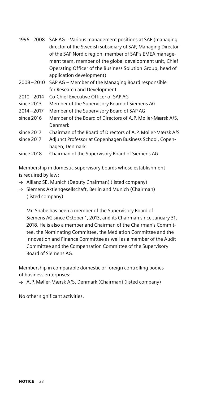|               | 1996 – 2008 SAP AG – Various management positions at SAP (managing |
|---------------|--------------------------------------------------------------------|
|               | director of the Swedish subsidiary of SAP, Managing Director       |
|               | of the SAP Nordic region, member of SAP's EMEA manage-             |
|               | ment team, member of the global development unit, Chief            |
|               | Operating Officer of the Business Solution Group, head of          |
|               | application development)                                           |
| 2008-2010     | SAP AG – Member of the Managing Board responsible                  |
|               | for Research and Development                                       |
| $2010 - 2014$ | Co-Chief Executive Officer of SAP AG                               |
| since 2013    | Member of the Supervisory Board of Siemens AG                      |
| $2014 - 2017$ | Member of the Supervisory Board of SAP AG                          |
| since 2016    | Member of the Board of Directors of A.P. Møller-Mærsk A/S,         |
|               | Denmark                                                            |
| since 2017    | Chairman of the Board of Directors of A.P. Møller-Mærsk A/S        |
| since 2017    | Adjunct Professor at Copenhagen Business School, Copen-            |
|               | hagen, Denmark                                                     |
| since 2018    | Chairman of the Supervisory Board of Siemens AG                    |
|               |                                                                    |

Membership in domestic supervisory boards whose establishment is required by law:

- $\rightarrow$  Allianz SE, Munich (Deputy Chairman) (listed company)
- $\rightarrow$  Siemens Aktiengesellschaft, Berlin and Munich (Chairman) (listed company)

Mr. Snabe has been a member of the Supervisory Board of Siemens AG since October 1, 2013, and its Chairman since January 31, 2018. He is also a member and Chairman of the Chairman's Committee, the Nominating Committee, the Mediation Committee and the Innovation and Finance Committee as well as a member of the Audit Committee and the Compensation Committee of the Supervisory Board of Siemens AG.

Membership in comparable domestic or foreign controlling bodies of business enterprises:

 $\rightarrow$  A.P. Møller-Mærsk A/S, Denmark (Chairman) (listed company)

No other significant activities.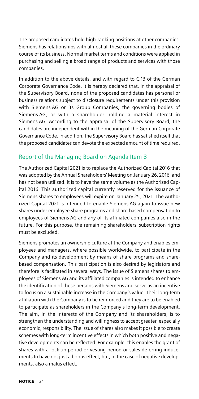The proposed candidates hold high-ranking positions at other companies. Siemens has relationships with almost all these companies in the ordinary course of its business. Normal market terms and conditions were applied in purchasing and selling a broad range of products and services with those companies.

In addition to the above details, and with regard to C.13 of the German Corporate Governance Code, it is hereby declared that, in the appraisal of the Supervisory Board, none of the proposed candidates has personal or business relations subject to disclosure requirements under this provision with Siemens AG or its Group Companies, the governing bodies of Siemens AG, or with a shareholder holding a material interest in Siemens AG. According to the appraisal of the Supervisory Board, the candidates are independent within the meaning of the German Corporate Governance Code. In addition, the Supervisory Board has satisfied itself that the proposed candidates can devote the expected amount of time required.

#### Report of the Managing Board on Agenda Item 8

The Authorized Capital 2021 is to replace the Authorized Capital 2016 that was adopted by the Annual Shareholders' Meeting on January 26, 2016, and has not been utilized. It is to have the same volume as the Authorized Capital 2016. This authorized capital currently reserved for the issuance of Siemens shares to employees will expire on January 25, 2021. The Authorized Capital 2021 is intended to enable Siemens AG again to issue new shares under employee share programs and share-based compensation to employees of Siemens AG and any of its affiliated companies also in the future. For this purpose, the remaining shareholders' subscription rights must be excluded.

Siemens promotes an ownership culture at the Company and enables employees and managers, where possible worldwide, to participate in the Company and its development by means of share programs and sharebased compensation. This participation is also desired by legislators and therefore is facilitated in several ways. The issue of Siemens shares to employees of Siemens AG and its affiliated companies is intended to enhance the identification of these persons with Siemens and serve as an incentive to focus on a sustainable increase in the Company's value. Their long-term affiliation with the Company is to be reinforced and they are to be enabled to participate as shareholders in the Company's long-term development. The aim, in the interests of the Company and its shareholders, is to strengthen the understanding and willingness to accept greater, especially economic, responsibility. The issue of shares also makes it possible to create schemes with long-term incentive effects in which both positive and negative developments can be reflected. For example, this enables the grant of shares with a lock-up period or vesting period or sales-deferring inducements to have not just a bonus effect, but, in the case of negative developments, also a malus effect.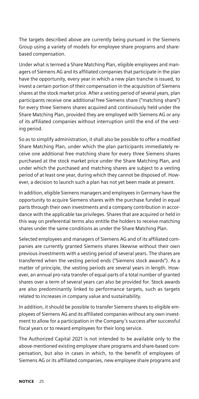The targets described above are currently being pursued in the Siemens Group using a variety of models for employee share programs and sharebased compensation.

Under what is termed a Share Matching Plan, eligible employees and managers of Siemens AG and its affiliated companies that participate in the plan have the opportunity, every year in which a new plan tranche is issued, to invest a certain portion of their compensation in the acquisition of Siemens shares at the stock market price. After a vesting period of several years, plan participants receive one additional free Siemens share ("matching share") for every three Siemens shares acquired and continuously held under the Share Matching Plan, provided they are employed with Siemens AG or any of its affiliated companies without interruption until the end of the vesting period.

So as to simplify administration, it shall also be possible to offer a modified Share Matching Plan, under which the plan participants immediately receive one additional free matching share for every three Siemens shares purchased at the stock market price under the Share Matching Plan, and under which the purchased and matching shares are subject to a vesting period of at least one year, during which they cannot be disposed of. However, a decision to launch such a plan has not yet been made at present.

In addition, eligible Siemens managers and employees in Germany have the opportunity to acquire Siemens shares with the purchase funded in equal parts through their own investments and a company contribution in accordance with the applicable tax privileges. Shares that are acquired or held in this way on preferential terms also entitle the holders to receive matching shares under the same conditions as under the Share Matching Plan.

Selected employees and managers of Siemens AG and of its affiliated companies are currently granted Siemens shares likewise without their own previous investments with a vesting period of several years. The shares are transferred when the vesting period ends ("Siemens stock awards"). As a matter of principle, the vesting periods are several years in length. However, an annual pro-rata transfer of equal parts of a total number of granted shares over a term of several years can also be provided for. Stock awards are also predominantly linked to performance targets, such as targets related to increases in company value and sustainability.

In addition, it should be possible to transfer Siemens shares to eligible employees of Siemens AG and its affiliated companies without any own investment to allow for a participation in the Company's success after successful fiscal years or to reward employees for their long service.

The Authorized Capital 2021 is not intended to be available only to the above-mentioned existing employee share programs and share-based compensation, but also in cases in which, to the benefit of employees of Siemens AG or its affiliated companies, new employee share programs and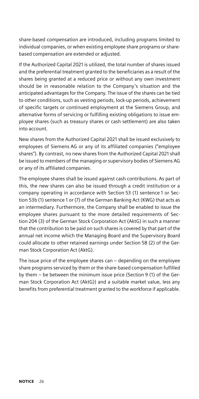share-based compensation are introduced, including programs limited to individual companies, or when existing employee share programs or sharebased compensation are extended or adjusted.

If the Authorized Capital 2021 is utilized, the total number of shares issued and the preferential treatment granted to the beneficiaries as a result of the shares being granted at a reduced price or without any own investment should be in reasonable relation to the Company's situation and the anticipated advantages for the Company. The issue of the shares can be tied to other conditions, such as vesting periods, lock-up periods, achievement of specific targets or continued employment at the Siemens Group, and alternative forms of servicing or fulfilling existing obligations to issue employee shares (such as treasury shares or cash settlement) are also taken into account.

New shares from the Authorized Capital 2021 shall be issued exclusively to employees of Siemens AG or any of its affiliated companies ("employee shares"). By contrast, no new shares from the Authorized Capital 2021 shall be issued to members of the managing or supervisory bodies of Siemens AG or any of its affiliated companies.

The employee shares shall be issued against cash contributions. As part of this, the new shares can also be issued through a credit institution or a company operating in accordance with Section 53 (1) sentence 1 or Section 53b (1) sentence 1 or (7) of the German Banking Act (KWG) that acts as an intermediary. Furthermore, the Company shall be enabled to issue the employee shares pursuant to the more detailed requirements of Section 204 (3) of the German Stock Corporation Act (AktG) in such a manner that the contribution to be paid on such shares is covered by that part of the annual net income which the Managing Board and the Supervisory Board could allocate to other retained earnings under Section 58 (2) of the German Stock Corporation Act (AktG).

The issue price of the employee shares can – depending on the employee share programs serviced by them or the share-based compensation fulfilled by them – be between the minimum issue price (Section 9 (1) of the German Stock Corporation Act (AktG)) and a suitable market value, less any benefits from preferential treatment granted to the workforce if applicable.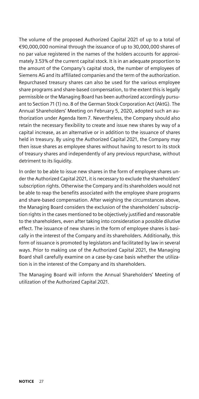The volume of the proposed Authorized Capital 2021 of up to a total of €90,000,000 nominal through the issuance of up to 30,000,000 shares of no par value registered in the names of the holders accounts for approximately 3.53% of the current capital stock. It is in an adequate proportion to the amount of the Company's capital stock, the number of employees of Siemens AG and its affiliated companies and the term of the authorization. Repurchased treasury shares can also be used for the various employee share programs and share-based compensation, to the extent this is legally permissible or the Managing Board has been authorized accordingly pursuant to Section 71 (1) no. 8 of the German Stock Corporation Act (AktG). The Annual Shareholders' Meeting on February 5, 2020, adopted such an authorization under Agenda Item 7. Nevertheless, the Company should also retain the necessary flexibility to create and issue new shares by way of a capital increase, as an alternative or in addition to the issuance of shares held in treasury. By using the Authorized Capital 2021, the Company may then issue shares as employee shares without having to resort to its stock of treasury shares and independently of any previous repurchase, without detriment to its liquidity.

In order to be able to issue new shares in the form of employee shares under the Authorized Capital 2021, it is necessary to exclude the shareholders' subscription rights. Otherwise the Company and its shareholders would not be able to reap the benefits associated with the employee share programs and share-based compensation. After weighing the circumstances above, the Managing Board considers the exclusion of the shareholders' subscription rights in the cases mentioned to be objectively justified and reasonable to the shareholders, even after taking into consideration a possible dilutive effect. The issuance of new shares in the form of employee shares is basically in the interest of the Company and its shareholders. Additionally, this form of issuance is promoted by legislators and facilitated by law in several ways. Prior to making use of the Authorized Capital 2021, the Managing Board shall carefully examine on a case-by-case basis whether the utilization is in the interest of the Company and its shareholders.

The Managing Board will inform the Annual Shareholders' Meeting of utilization of the Authorized Capital 2021.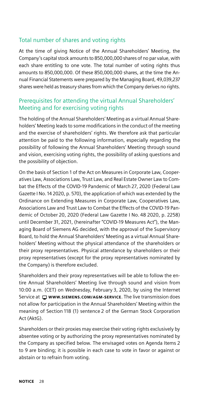#### Total number of shares and voting rights

At the time of giving Notice of the Annual Shareholders' Meeting, the Company's capital stock amounts to 850,000,000 shares of no par value, with each share entitling to one vote. The total number of voting rights thus amounts to 850,000,000. Of these 850,000,000 shares, at the time the Annual Financial Statements were prepared by the Managing Board, 49,039,237 shares were held as treasury shares from which the Company derives no rights.

### Prerequisites for attending the virtual Annual Shareholders' Meeting and for exercising voting rights

The holding of the Annual Shareholders' Meeting as a virtual Annual Shareholders' Meeting leads to some modifications in the conduct of the meeting and the exercise of shareholders' rights. We therefore ask that particular attention be paid to the following information, especially regarding the possibility of following the Annual Shareholders' Meeting through sound and vision, exercising voting rights, the possibility of asking questions and the possibility of objection.

On the basis of Section 1 of the Act on Measures in Corporate Law, Cooperatives Law, Associations Law, Trust Law, and Real Estate Owner Law to Combat the Effects of the COVID-19 Pandemic of March 27, 2020 (Federal Law Gazette I No. 14 2020, p. 570), the application of which was extended by the Ordinance on Extending Measures in Corporate Law, Cooperatives Law, Associations Law and Trust Law to Combat the Effects of the COVID-19 Pandemic of October 20, 2020 (Federal Law Gazette I No. 48 2020, p. 2258) until December 31, 2021, (hereinafter "COVID-19 Measures Act"), the Managing Board of Siemens AG decided, with the approval of the Supervisory Board, to hold the Annual Shareholders' Meeting as a virtual Annual Shareholders' Meeting without the physical attendance of the shareholders or their proxy representatives. Physical attendance by shareholders or their proxy representatives (except for the proxy representatives nominated by the Company) is therefore excluded.

Shareholders and their proxy representatives will be able to follow the entire Annual Shareholders' Meeting live through sound and vision from 10:00 a.m. (CET) on Wednesday, February 3, 2020, by using the Internet Service at  $\Box$  www.siEMENS.COM/AGM-SERVICE. The live transmission does not allow for participation in the Annual Shareholders' Meeting within the meaning of Section 118 (1) sentence 2 of the German Stock Corporation Act (AktG).

Shareholders or their proxies may exercise their voting rights exclusively by absentee voting or by authorizing the proxy representatives nominated by the Company as specified below. The envisaged votes on Agenda Items 2 to 9 are binding; it is possible in each case to vote in favor or against or abstain or to refrain from voting.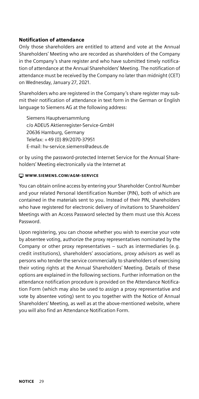#### Notification of attendance

Only those shareholders are entitled to attend and vote at the Annual Shareholders' Meeting who are recorded as shareholders of the Company in the Company's share register and who have submitted timely notification of attendance at the Annual Shareholders' Meeting. The notification of attendance must be received by the Company no later than midnight (CET) on Wednesday, January 27, 2021.

Shareholders who are registered in the Company's share register may submit their notification of attendance in text form in the German or English language to Siemens AG at the following address:

Siemens Hauptversammlung c/o ADEUS Aktienregister-Service-GmbH 20636 Hamburg, Germany Telefax: +49 (0) 89/2070-37951 E-mail: hv-service.siemens@adeus.de

or by using the password-protected Internet Service for the Annual Shareholders' Meeting electronically via the Internet at

#### [WWW.SIEMENS.COM/AGM-SERVICE](http://www.siemens.com/agm-service)

You can obtain online access by entering your Shareholder Control Number and your related Personal Identification Number (PIN), both of which are contained in the materials sent to you. Instead of their PIN, shareholders who have registered for electronic delivery of invitations to Shareholders' Meetings with an Access Password selected by them must use this Access Password.

Upon registering, you can choose whether you wish to exercise your vote by absentee voting, authorize the proxy representatives nominated by the Company or other proxy representatives – such as intermediaries (e.g. credit institutions), shareholders' associations, proxy advisors as well as persons who tender the service commercially to shareholders of exercising their voting rights at the Annual Shareholders' Meeting. Details of these options are explained in the following sections. Further information on the attendance notification procedure is provided on the Attendance Notification Form (which may also be used to assign a proxy representative and vote by absentee voting) sent to you together with the Notice of Annual Shareholders' Meeting, as well as at the above-mentioned website, where you will also find an Attendance Notification Form.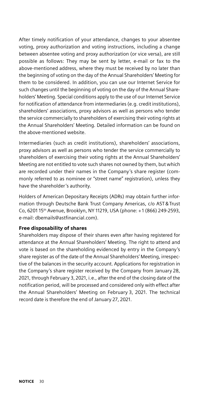After timely notification of your attendance, changes to your absentee voting, proxy authorization and voting instructions, including a change between absentee voting and proxy authorization (or vice versa), are still possible as follows: They may be sent by letter, e-mail or fax to the above-mentioned address, where they must be received by no later than the beginning of voting on the day of the Annual Shareholders' Meeting for them to be considered. In addition, you can use our Internet Service for such changes until the beginning of voting on the day of the Annual Shareholders' Meeting. Special conditions apply to the use of our Internet Service for notification of attendance from intermediaries (e.g. credit institutions), shareholders' associations, proxy advisors as well as persons who tender the service commercially to shareholders of exercising their voting rights at the Annual Shareholders' Meeting. Detailed information can be found on the above-mentioned website.

Intermediaries (such as credit institutions), shareholders' associations, proxy advisors as well as persons who tender the service commercially to shareholders of exercising their voting rights at the Annual Shareholders' Meeting are not entitled to vote such shares not owned by them, but which are recorded under their names in the Company's share register (commonly referred to as nominee or "street name" registration), unless they have the shareholder 's authority.

Holders of American Depositary Receipts (ADRs) may obtain further information through Deutsche Bank Trust Company Americas, c/o AST&Trust Co, 6201 15th Avenue, Brooklyn, NY 11219, USA (phone: +1 (866) 249-2593, e-mail: dbemails@astfinancial.com).

#### Free disposability of shares

Shareholders may dispose of their shares even after having registered for attendance at the Annual Shareholders' Meeting. The right to attend and vote is based on the shareholding evidenced by entry in the Company's share register as of the date of the Annual Shareholders' Meeting, irrespective of the balances in the security account. Applications for registration in the Company's share register received by the Company from January 28, 2021, through February 3, 2021, i.e., after the end of the closing date of the notification period, will be processed and considered only with effect after the Annual Shareholders' Meeting on February 3, 2021. The technical record date is therefore the end of January 27, 2021.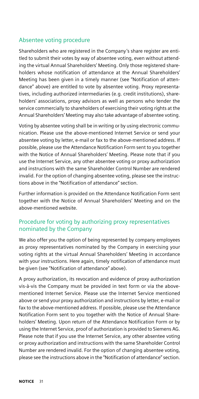#### Absentee voting procedure

Shareholders who are registered in the Company's share register are entitled to submit their votes by way of absentee voting, even without attending the virtual Annual Shareholders' Meeting. Only those registered shareholders whose notification of attendance at the Annual Shareholders' Meeting has been given in a timely manner (see "Notification of attendance" above) are entitled to vote by absentee voting. Proxy representatives, including authorized intermediaries (e.g. credit institutions), shareholders' associations, proxy advisors as well as persons who tender the service commercially to shareholders of exercising their voting rights at the Annual Shareholders' Meeting may also take advantage of absentee voting.

Voting by absentee voting shall be in writing or by using electronic communication. Please use the above-mentioned Internet Service or send your absentee voting by letter, e-mail or fax to the above-mentioned address. If possible, please use the Attendance Notification Form sent to you together with the Notice of Annual Shareholders' Meeting. Please note that if you use the Internet Service, any other absentee voting or proxy authorization and instructions with the same Shareholder Control Number are rendered invalid. For the option of changing absentee voting, please see the instructions above in the "Notification of attendance" section.

Further information is provided on the Attendance Notification Form sent together with the Notice of Annual Shareholders' Meeting and on the above-mentioned website.

#### Procedure for voting by authorizing proxy representatives nominated by the Company

We also offer you the option of being represented by company employees as proxy representatives nominated by the Company in exercising your voting rights at the virtual Annual Shareholders' Meeting in accordance with your instructions. Here again, timely notification of attendance must be given (see "Notification of attendance" above).

A proxy authorization, its revocation and evidence of proxy authorization vis-à-vis the Company must be provided in text form or via the abovementioned Internet Service. Please use the Internet Service mentioned above or send your proxy authorization and instructions by letter, e-mail or fax to the above-mentioned address. If possible, please use the Attendance Notification Form sent to you together with the Notice of Annual Shareholders' Meeting. Upon return of the Attendance Notification Form or by using the Internet Service, proof of authorization is provided to Siemens AG. Please note that if you use the Internet Service, any other absentee voting or proxy authorization and instructions with the same Shareholder Control Number are rendered invalid. For the option of changing absentee voting, please see the instructions above in the "Notification of attendance" section.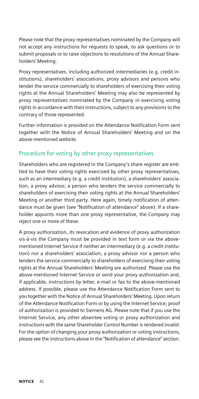Please note that the proxy representatives nominated by the Company will not accept any instructions for requests to speak, to ask questions or to submit proposals or to raise objections to resolutions of the Annual Shareholders' Meeting.

Proxy representatives, including authorized intermediaries (e.g. credit institutions), shareholders' associations, proxy advisors and persons who tender the service commercially to shareholders of exercising their voting rights at the Annual Shareholders' Meeting may also be represented by proxy representatives nominated by the Company in exercising voting rights in accordance with their instructions, subject to any provisions to the contrary of those represented.

Further information is provided on the Attendance Notification Form sent together with the Notice of Annual Shareholders' Meeting and on the above-mentioned website.

#### Procedure for voting by other proxy representatives

Shareholders who are registered in the Company's share register are entitled to have their voting rights exercised by other proxy representatives, such as an intermediary (e.g. a credit institution), a shareholders' association, a proxy advisor, a person who tenders the service commercially to shareholders of exercising their voting rights at the Annual Shareholders' Meeting or another third party. Here again, timely notification of attendance must be given (see "Notification of attendance" above). If a shareholder appoints more than one proxy representative, the Company may reject one or more of these.

A proxy authorization, its revocation and evidence of proxy authorization vis-à-vis the Company must be provided in text form or via the abovementioned Internet Service if neither an intermediary (e.g. a credit institution) nor a shareholders' association, a proxy advisor nor a person who tenders the service commercially to shareholders of exercising their voting rights at the Annual Shareholders' Meeting are authorized. Please use the above-mentioned Internet Service or send your proxy authorization and, if applicable, instructions by letter, e-mail or fax to the above-mentioned address. If possible, please use the Attendance Notification Form sent to you together with the Notice of Annual Shareholders' Meeting. Upon return of the Attendance Notification Form or by using the Internet Service, proof of authorization is provided to Siemens AG. Please note that if you use the Internet Service, any other absentee voting or proxy authorization and instructions with the same Shareholder Control Number is rendered invalid. For the option of changing your proxy authorization or voting instructions, please see the instructions above in the "Notification of attendance" section.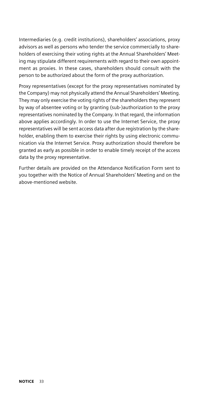Intermediaries (e.g. credit institutions), shareholders' associations, proxy advisors as well as persons who tender the service commercially to shareholders of exercising their voting rights at the Annual Shareholders' Meeting may stipulate different requirements with regard to their own appointment as proxies. In these cases, shareholders should consult with the person to be authorized about the form of the proxy authorization.

Proxy representatives (except for the proxy representatives nominated by the Company) may not physically attend the Annual Shareholders' Meeting. They may only exercise the voting rights of the shareholders they represent by way of absentee voting or by granting (sub-)authorization to the proxy representatives nominated by the Company. In that regard, the information above applies accordingly. In order to use the Internet Service, the proxy representatives will be sent access data after due registration by the shareholder, enabling them to exercise their rights by using electronic communication via the Internet Service. Proxy authorization should therefore be granted as early as possible in order to enable timely receipt of the access data by the proxy representative.

Further details are provided on the Attendance Notification Form sent to you together with the Notice of Annual Shareholders' Meeting and on the above-mentioned website.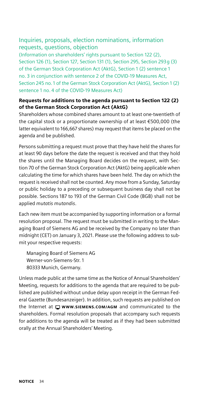#### Inquiries, proposals, election nominations, information requests, questions, objection

(Information on shareholders' rights pursuant to Section 122 (2), Section 126 (1), Section 127, Section 131 (1), Section 295, Section 293g (3) of the German Stock Corporation Act (AktG), Section 1 (2) sentence 1 no. 3 in conjunction with sentence 2 of the COVID-19 Measures Act, Section 245 no. 1 of the German Stock Corporation Act (AktG), Section 1 (2) sentence 1 no. 4 of the COVID-19 Measures Act)

#### Requests for additions to the agenda pursuant to Section 122 (2) of the German Stock Corporation Act (AktG)

Shareholders whose combined shares amount to at least one-twentieth of the capital stock or a proportionate ownership of at least €500,000 (the latter equivalent to 166,667 shares) may request that items be placed on the agenda and be published.

Persons submitting a request must prove that they have held the shares for at least 90 days before the date the request is received and that they hold the shares until the Managing Board decides on the request, with Section 70 of the German Stock Corporation Act (AktG) being applicable when calculating the time for which shares have been held. The day on which the request is received shall not be counted. Any move from a Sunday, Saturday or public holiday to a preceding or subsequent business day shall not be possible. Sections 187 to 193 of the German Civil Code (BGB) shall not be applied *mutatis mutandis*.

Each new item must be accompanied by supporting information or a formal resolution proposal. The request must be submitted in writing to the Managing Board of Siemens AG and be received by the Company no later than midnight (CET) on January 3, 2021. Please use the following address to submit your respective requests:

Managing Board of Siemens AG Werner-von-Siemens-Str. 1 80333 Munich, Germany.

Unless made public at the same time as the Notice of Annual Shareholders' Meeting, requests for additions to the agenda that are required to be published are published without undue delay upon receipt in the German Federal Gazette (Bundesanzeiger). In addition, such requests are published on the Internet at  $\Box$  www.siEMENS.COM/AGM and communicated to the shareholders. Formal resolution proposals that accompany such requests for additions to the agenda will be treated as if they had been submitted orally at the Annual Shareholders' Meeting.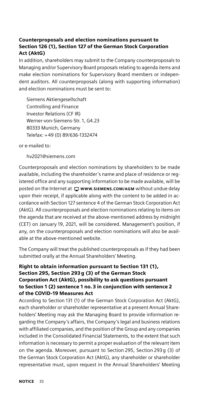#### Counterproposals and election nominations pursuant to Section 126 (1), Section 127 of the German Stock Corporation Act (AktG)

In addition, shareholders may submit to the Company counterproposals to Managing and/or Supervisory Board proposals relating to agenda items and make election nominations for Supervisory Board members or independent auditors. All counterproposals (along with supporting information) and election nominations must be sent to:

Siemens Aktiengesellschaft Controlling and Finance Investor Relations (CF IR) Werner-von-Siemens-Str. 1, G4.23 80333 Munich, Germany Telefax: +49 (0) 89/636-1332474

or e-mailed to:

[hv2021@siemens.com](mailto:hv2021%40siemens.com?subject=)

Counterproposals and election nominations by shareholders to be made available, including the shareholder 's name and place of residence or registered office and any supporting information to be made available, will be posted on the Internet at  $\Box$  www.siEMENS.COM/AGM without undue delay upon their receipt, if applicable along with the content to be added in accordance with Section 127 sentence 4 of the German Stock Corporation Act (AktG). All counterproposals and election nominations relating to items on the agenda that are received at the above-mentioned address by midnight (CET) on January 19, 2021, will be considered. Management's position, if any, on the counterproposals and election nominations will also be available at the above-mentioned website.

The Company will treat the published counterproposals as if they had been submitted orally at the Annual Shareholders' Meeting.

#### Right to obtain information pursuant to Section 131 (1), Section 295, Section 293g (3) of the German Stock Corporation Act (AktG), possibility to ask questions pursuant to Section 1 (2) sentence 1 no. 3 in conjunction with sentence 2 of the COVID-19 Measures Act

According to Section 131 (1) of the German Stock Corporation Act (AktG), each shareholder or shareholder representative at a present Annual Shareholders' Meeting may ask the Managing Board to provide information regarding the Company's affairs, the Company's legal and business relations with affiliated companies, and the position of the Group and any companies included in the Consolidated Financial Statements, to the extent that such information is necessary to permit a proper evaluation of the relevant item on the agenda. Moreover, pursuant to Section 295, Section 293g (3) of the German Stock Corporation Act (AktG), any shareholder or shareholder representative must, upon request in the Annual Shareholders' Meeting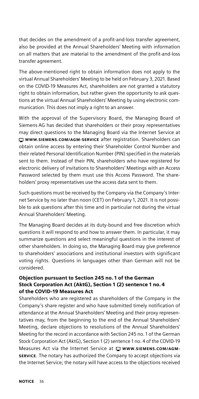that decides on the amendment of a profit-and-loss transfer agreement, also be provided at the Annual Shareholders' Meeting with information on all matters that are material to the amendment of the profit-and-loss transfer agreement.

The above-mentioned right to obtain information does not apply to the virtual Annual Shareholders' Meeting to be held on February 3, 2021. Based on the COVID-19 Measures Act, shareholders are not granted a statutory right to obtain information, but rather given the opportunity to ask questions at the virtual Annual Shareholders' Meeting by using electronic communication. This does not imply a right to an answer.

With the approval of the Supervisory Board, the Managing Board of Siemens AG has decided that shareholders or their proxy representatives may direct questions to the Managing Board via the Internet Service at WWW.SIEMENS.COM/AGM-SERVICE after registration. Shareholders can obtain online access by entering their Shareholder Control Number and their related Personal Identification Number (PIN) specified in the materials sent to them. Instead of their PIN, shareholders who have registered for electronic delivery of invitations to Shareholders' Meetings with an Access Password selected by them must use this Access Password. The shareholders' proxy representatives use the access data sent to them.

Such questions must be received by the Company via the Company's Internet Service by no later than noon (CET) on February 1, 2021. It is not possible to ask questions after this time and in particular not during the virtual Annual Shareholders' Meeting.

The Managing Board decides at its duty-bound and free discretion which questions it will respond to and how to answer them. In particular, it may summarize questions and select meaningful questions in the interest of other shareholders. In doing so, the Managing Board may give preference to shareholders' associations and institutional investors with significant voting rights. Questions in languages other than German will not be considered.

#### Objection pursuant to Section 245 no. 1 of the German Stock Corporation Act (AktG), Section 1 (2) sentence 1 no. 4 of the COVID-19 Measures Act

Shareholders who are registered as shareholders of the Company in the Company's share register and who have submitted timely notification of attendance at the Annual Shareholders' Meeting and their proxy representatives may, from the beginning to the end of the Annual Shareholders' Meeting, declare objections to resolutions of the Annual Shareholders' Meeting for the record in accordance with Section 245 no. 1 of the German Stock Corporation Act (AktG), Section 1 (2) sentence 1 no. 4 of the COVID-19 Measures Act via the Internet Service at  $\Box$  www.siEMENS.COM/AGM-[SERVICE](http://www.siemens.com/agm-service). The notary has authorized the Company to accept objections via the Internet Service; the notary will have access to the objections received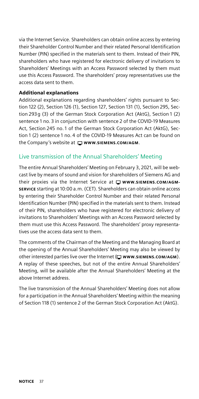via the Internet Service. Shareholders can obtain online access by entering their Shareholder Control Number and their related Personal Identification Number (PIN) specified in the materials sent to them. Instead of their PIN, shareholders who have registered for electronic delivery of invitations to Shareholders' Meetings with an Access Password selected by them must use this Access Password. The shareholders' proxy representatives use the access data sent to them.

#### Additional explanations

Additional explanations regarding shareholders' rights pursuant to Section 122 (2), Section 126 (1), Section 127, Section 131 (1), Section 295, Section 293g (3) of the German Stock Corporation Act (AktG), Section 1 (2) sentence 1 no. 3 in conjunction with sentence 2 of the COVID-19 Measures Act, Section 245 no. 1 of the German Stock Corporation Act (AktG), Section 1 (2) sentence 1 no. 4 of the COVID-19 Measures Act can be found on the Company's website at  $\Box$  www.siemens.com/AGM.

#### Live transmission of the Annual Shareholders' Meeting

The entire Annual Shareholders' Meeting on February 3, 2021, will be webcast live by means of sound and vision for shareholders of Siemens AG and their proxies via the Internet Service at  $\Box$  www.siEMENS.COM/AGM-[SERVICE](http://www.siemens.com/agm-service) starting at 10:00 a.m. (CET). Shareholders can obtain online access by entering their Shareholder Control Number and their related Personal Identification Number (PIN) specified in the materials sent to them. Instead of their PIN, shareholders who have registered for electronic delivery of invitations to Shareholders' Meetings with an Access Password selected by them must use this Access Password. The shareholders' proxy representatives use the access data sent to them.

The comments of the Chairman of the Meeting and the Managing Board at the opening of the Annual Shareholders' Meeting may also be viewed by other interested parties live over the Internet  $(\square$  www.siEMENS.COM/AGM). A replay of these speeches, but not of the entire Annual Shareholders' Meeting, will be available after the Annual Shareholders' Meeting at the above Internet address.

The live transmission of the Annual Shareholders' Meeting does not allow for a participation in the Annual Shareholders' Meeting within the meaning of Section 118 (1) sentence 2 of the German Stock Corporation Act (AktG).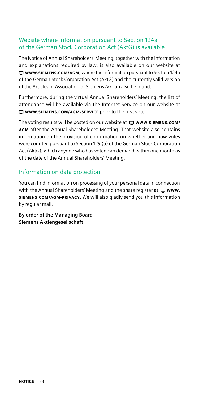#### Website where information pursuant to Section 124a of the German Stock Corporation Act (AktG) is available

The Notice of Annual Shareholders' Meeting, together with the information and explanations required by law, is also available on our website at [WWW.SIEMENS.COM/AGM](http://www.siemens.com/agm), where the information pursuant to Section 124a of the German Stock Corporation Act (AktG) and the currently valid version of the Articles of Association of Siemens AG can also be found.

Furthermore, during the virtual Annual Shareholders' Meeting, the list of attendance will be available via the Internet Service on our website at  $\Box$  [WWW.SIEMENS.COM/AGM-SERVICE](http://www.siemens.com/agm-service) prior to the first vote.

The voting results will be posted on our website at  $\Box$  www.siEMENS.COM/ [AGM](http://www.siemens.com/agm) after the Annual Shareholders' Meeting. That website also contains information on the provision of confirmation on whether and how votes were counted pursuant to Section 129 (5) of the German Stock Corporation Act (AktG), which anyone who has voted can demand within one month as of the date of the Annual Shareholders' Meeting.

#### Information on data protection

You can find information on processing of your personal data in connection with the Annual Shareholders' Meeting and the share register at  $\Box$  www. [SIEMENS.COM/AGM-PRIVACY](http://www.siemens.com/agm-privacy). We will also gladly send you this information by regular mail.

**By order of the Managing Board Siemens Aktiengesellschaft**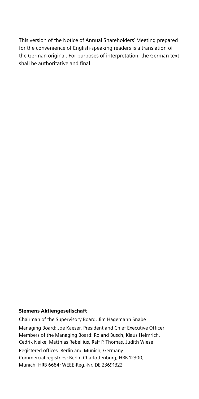This version of the Notice of Annual Shareholders' Meeting prepared for the convenience of English-speaking readers is a translation of the German original. For purposes of interpretation, the German text shall be authoritative and final.

#### Siemens Aktiengesellschaft

Chairman of the Supervisory Board: Jim Hagemann Snabe Managing Board: Joe Kaeser, President and Chief Executive Officer Members of the Managing Board: Roland Busch, Klaus Helmrich, Cedrik Neike, Matthias Rebellius, Ralf P. Thomas, Judith Wiese Registered offices: Berlin and Munich, Germany Commercial registries: Berlin Charlottenburg, HRB 12300, Munich, HRB 6684; WEEE-Reg.-Nr. DE 23691322